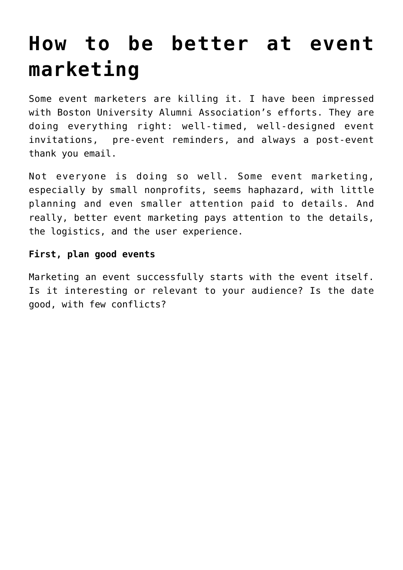# **[How to be better at event](https://deborahbrody.com/2020/02/how-to-be-better-at-event-marketing/) [marketing](https://deborahbrody.com/2020/02/how-to-be-better-at-event-marketing/)**

Some event marketers are killing it. I have been impressed with Boston University Alumni Association's efforts. They are doing everything right: well-timed, well-designed event invitations, pre-event reminders, and always a post-event thank you email.

Not everyone is doing so well. Some event marketing, especially by small nonprofits, seems haphazard, with little planning and even smaller attention paid to details. And really, better event marketing pays attention to the details, the logistics, and the user experience.

## **First, plan good events**

Marketing an event successfully starts with the event itself. Is it interesting or relevant to your audience? Is the date good, with few conflicts?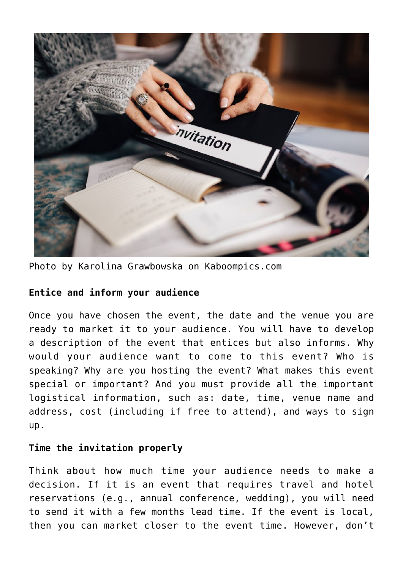

Photo by Karolina Grawbowska on Kaboompics.com

## **Entice and inform your audience**

Once you have chosen the event, the date and the venue you are ready to market it to your audience. You will have to develop a description of the event that entices but also informs. Why would your audience want to come to this event? Who is speaking? Why are you hosting the event? What makes this event special or important? And you must provide all the important logistical information, such as: date, time, venue name and address, cost (including if free to attend), and ways to sign up.

## **Time the invitation properly**

Think about how much time your audience needs to make a decision. If it is an event that requires travel and hotel reservations (e.g., annual conference, wedding), you will need to send it with a few months lead time. If the event is local, then you can market closer to the event time. However, don't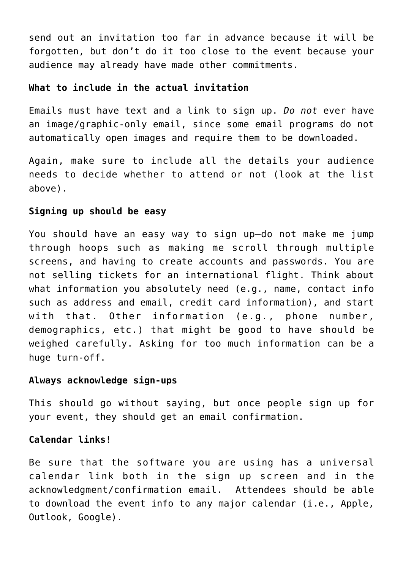send out an invitation too far in advance because it will be forgotten, but don't do it too close to the event because your audience may already have made other commitments.

#### **What to include in the actual invitation**

Emails must have text and a link to sign up. *Do not* ever have an image/graphic-only email, since some email programs do not automatically open images and require them to be downloaded.

Again, make sure to include all the details your audience needs to decide whether to attend or not (look at the list above).

#### **Signing up should be easy**

You should have an easy way to sign up—do not make me jump through hoops such as making me scroll through multiple screens, and having to create accounts and passwords. You are not selling tickets for an international flight. Think about what information you absolutely need (e.g., name, contact info such as address and email, credit card information), and start with that. Other information (e.g., phone number, demographics, etc.) that might be good to have should be weighed carefully. Asking for too much information can be a huge turn-off.

#### **Always acknowledge sign-ups**

This should go without saying, but once people sign up for your event, they should get an email confirmation.

## **Calendar links!**

Be sure that the software you are using has a universal calendar link both in the sign up screen and in the acknowledgment/confirmation email. Attendees should be able to download the event info to any major calendar (i.e., Apple, Outlook, Google).